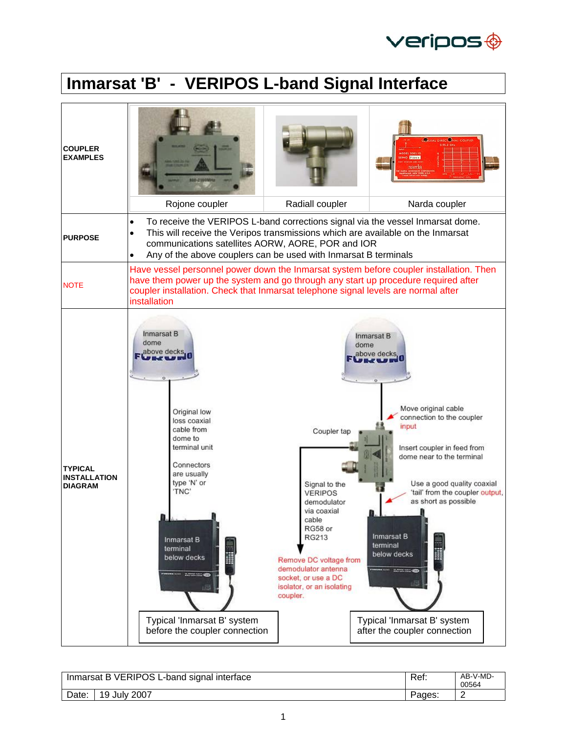

## **Inmarsat 'B' - VERIPOS L-band Signal Interface**

| <b>COUPLER</b><br><b>EXAMPLES</b>                       |                                                                                                                                                                                                                                                                                                          |                                                                                                                                                                                                                                                                    | <b>CAXIAL DIRECTORIAL COL</b><br><b>PAGE 212233</b>                                                                                                                                                                                                                                                                                                          |  |  |  |
|---------------------------------------------------------|----------------------------------------------------------------------------------------------------------------------------------------------------------------------------------------------------------------------------------------------------------------------------------------------------------|--------------------------------------------------------------------------------------------------------------------------------------------------------------------------------------------------------------------------------------------------------------------|--------------------------------------------------------------------------------------------------------------------------------------------------------------------------------------------------------------------------------------------------------------------------------------------------------------------------------------------------------------|--|--|--|
|                                                         | Rojone coupler                                                                                                                                                                                                                                                                                           | Radiall coupler                                                                                                                                                                                                                                                    | Narda coupler                                                                                                                                                                                                                                                                                                                                                |  |  |  |
| <b>PURPOSE</b>                                          | To receive the VERIPOS L-band corrections signal via the vessel Inmarsat dome.<br>$\bullet$<br>This will receive the Veripos transmissions which are available on the Inmarsat<br>communications satellites AORW, AORE, POR and IOR<br>Any of the above couplers can be used with Inmarsat B terminals   |                                                                                                                                                                                                                                                                    |                                                                                                                                                                                                                                                                                                                                                              |  |  |  |
| <b>NOTE</b>                                             | installation                                                                                                                                                                                                                                                                                             | Have vessel personnel power down the Inmarsat system before coupler installation. Then<br>have them power up the system and go through any start up procedure required after<br>coupler installation. Check that Inmarsat telephone signal levels are normal after |                                                                                                                                                                                                                                                                                                                                                              |  |  |  |
| <b>TYPICAL</b><br><b>INSTALLATION</b><br><b>DIAGRAM</b> | Inmarsat B<br>dome<br>above decks<br>Original low<br>loss coaxial<br>cable from<br>dome to<br>terminal unit<br>Connectors<br>are usually<br>type 'N' or<br>'TNC'<br>$\mathbf{a}$<br><b>Inmarsat B</b><br>terminal<br>below decks<br>1880<br>Typical 'Inmarsat B' system<br>before the coupler connection | Coupler tap<br>Signal to the<br><b>VERIPOS</b><br>demodulator<br>via coaxial<br>cable<br>RG58 or<br>RG213<br>Remove DC voltage from<br>demodulator antenna<br>socket, or use a DC<br>isolator, or an isolating<br>coupler.                                         | Inmarsat B<br>dome<br>above decks,<br>Move original cable<br>connection to the coupler<br>input<br>Insert coupler in feed from<br>dome near to the terminal<br>Use a good quality coaxial<br>'tail' from the coupler output,<br>as short as possible<br>Inmarsat B<br>terminal<br>below decks<br>Typical 'Inmarsat B' system<br>after the coupler connection |  |  |  |

| Inmarsat B VERIPOS L-band signal interface |                        | Ref:   | AB-V-MD-<br>00564 |
|--------------------------------------------|------------------------|--------|-------------------|
| Date:                                      | <b>July 2007</b><br>19 | Pages: | _                 |